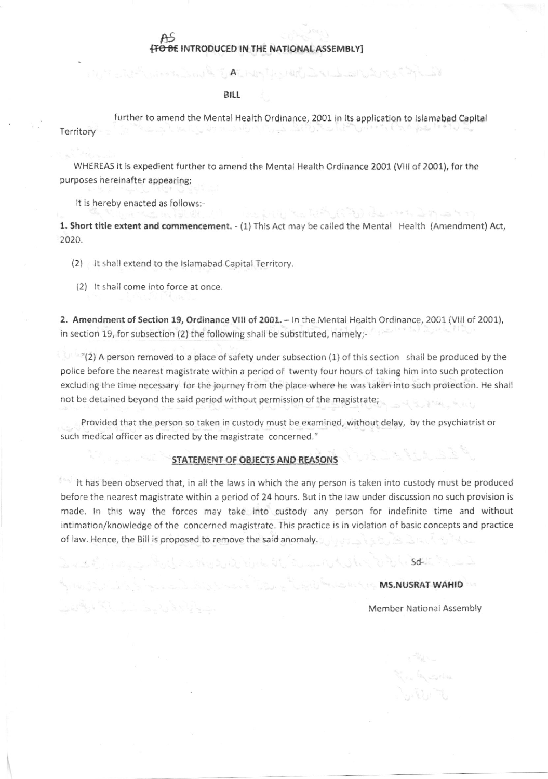## hs <del>[TO BE</del> INTRODUCED IN THE NATIONAL ASSEMBLY

## <sup>B</sup>ILI

further to amend the Mental Health Ordinance, 2001 in its application to lslamabad Capital Territory

 $A$  is the state of  $A$  and  $A$  and  $A$  and  $A$  is  $\{A\}$ 

يسربان المستروض والمتوارد أتأتها وأنكب ومعترضات المستعارض

WHEREAS it is expedient further to amend the Mentai Health Ordinance 2001 (Vlll of 2001), for the purposes hereinafter appearing;

It is hereby enacted as tollows:-

1. Short title extent and commencement. - (1) This Act may be called the Menta! Health (Amendment) Act, 2020.

(2) It shall extend to the Islamabad Capital Territory.

(2) lt shall come into force at once.

2. Amendment of Section 19, Ordinance VIII of 2001. - In the Mental Health Ordinance, 2001 (VIII of 2001), in section 19, for subsection (2) the following shall be substituted, namely;-

 $\mathbb{C}$  "(2) A person removed to a place of safety under subsection (1) of this section shall be produced by the poiice before the nearest magistrate within a period of twenty four hours of taking him into such protection excluding the time necessary for thejourney from the place where he was taken into such protection. He shall not be detained beyond the said period without permission of the magistrate;

Provided that the person so taken in custody must be examined, without delay, by the psychiatrist or such medical officer as directed by the magistrate concerned."

## STATEMENT OF OBJECTS AND REASONS

It has been observed that, in all the laws in which the any person is taken into custody must be produced before the nearest magistrate within a period of 24 hours. 3ut in the law under discussion no such provision is made. ln this way the forces may take into custody any person for indefinite time and without intimation/knowledge of the concerned magistrate. This practice is in violation of basic concepts and practice of law. Hence, the Bill is proposed to remove the said anomaly.

یک سایند چینی از دونار سال به کار در این این بازی این دونار برابل شان سایت را برابران این این این این همایات کش

## MS.NUSRAT WAHID

Member National Assembly